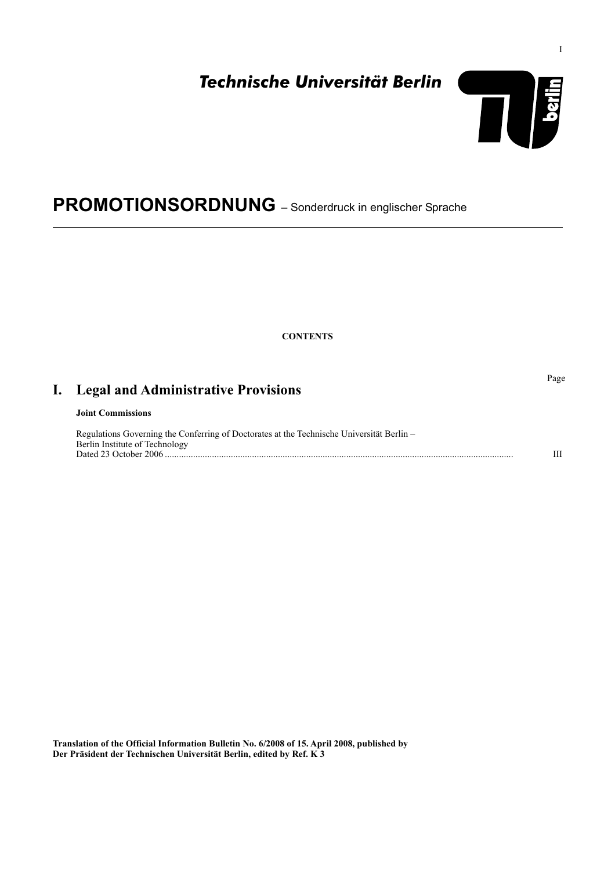Page

# *Technische Universität Berlin*



# **PROMOTIONSORDNUNG** – Sonderdruck in englischer Sprache

**CONTENTS**

| I. |  |  |  |  |  | <b>Legal and Administrative Provisions</b> |  |
|----|--|--|--|--|--|--------------------------------------------|--|
|----|--|--|--|--|--|--------------------------------------------|--|

## **Joint Commissions**

| Regulations Governing the Conferring of Doctorates at the Technische Universität Berlin – |  |
|-------------------------------------------------------------------------------------------|--|
| Berlin Institute of Technology                                                            |  |
| Dated 23 October 2006                                                                     |  |

**Translation of the Official Information Bulletin No. 6/2008 of 15. April 2008, published by Der Präsident der Technischen Universität Berlin, edited by Ref. K 3**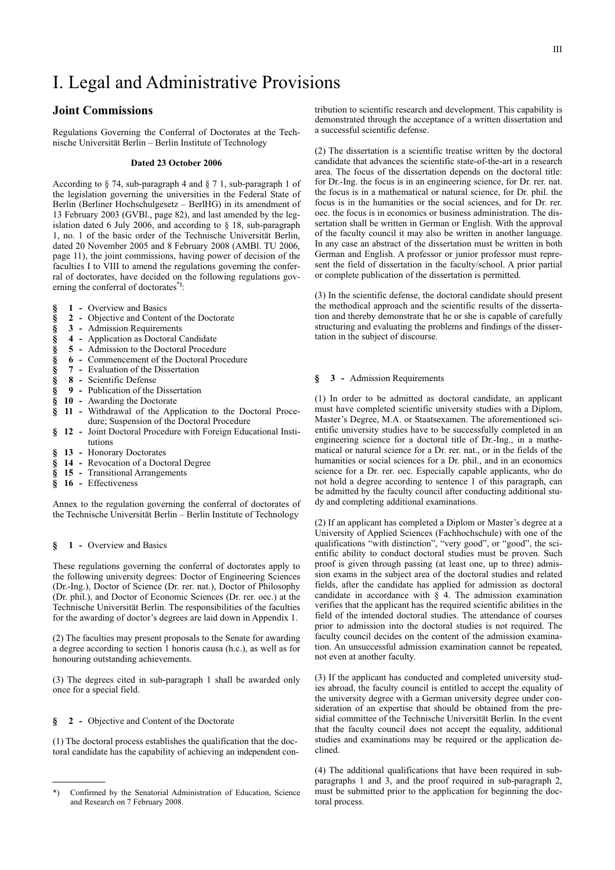# I. Legal and Administrative Provisions

## **Joint Commissions**

Regulations Governing the Conferral of Doctorates at the Technische Universität Berlin – Berlin Institute of Technology

#### **Dated 23 October 2006**

According to § 74, sub-paragraph 4 and § 7 1, sub-paragraph 1 of the legislation governing the universities in the Federal State of Berlin (Berliner Hochschulgesetz – BerlHG) in its amendment of 13 February 2003 (GVBl., page 82), and last amended by the legislation dated 6 July 2006, and according to § 18, sub-paragraph 1, no. 1 of the basic order of the Technische Universität Berlin, dated 20 November 2005 and 8 February 2008 (AMBl. TU 2006, page 11), the joint commissions, having power of decision of the faculties I to VIII to amend the regulations governing the conferral of doctorates, have decided on the following regulations governing the conferral of doctorates**\*)**:

- **§ 1 -** Overview and Basics
- § 2 Objective and Content of the Doctorate<br>
§ 3 Admission Requirements<br>
§ 4 Application as Doctoral Candidate<br>
§ 5 Admission to the Doctoral Procedure<br>
§ 6 Commencement of the Doctoral Proced<br>
§ 7 Evaluation of
- **§ 3 -** Admission Requirements
- **§ 4 -** Application as Doctoral Candidate
- **§ 5 -** Admission to the Doctoral Procedure
- **§ 6 -** Commencement of the Doctoral Procedure
- **§ 7 -** Evaluation of the Dissertation
- **§ 8 -** Scientific Defense
- **§ 9 -** Publication of the Dissertation
- **§ 10 -** Awarding the Doctorate
- **§ 11 -** Withdrawal of the Application to the Doctoral Procedure; Suspension of the Doctoral Procedure
- **§ 12 -** Joint Doctoral Procedure with Foreign Educational Institutions
- **§ 13 -** Honorary Doctorates
- **§ 14 -** Revocation of a Doctoral Degree
- **§ 15 -** Transitional Arrangements
- **§ 16 -** Effectiveness

Annex to the regulation governing the conferral of doctorates of the Technische Universität Berlin – Berlin Institute of Technology

#### **§ 1 -** Overview and Basics

These regulations governing the conferral of doctorates apply to the following university degrees: Doctor of Engineering Sciences (Dr.-Ing.), Doctor of Science (Dr. rer. nat.), Doctor of Philosophy (Dr. phil.), and Doctor of Economic Sciences (Dr. rer. oec.) at the Technische Universität Berlin. The responsibilities of the faculties for the awarding of doctor's degrees are laid down in Appendix 1.

(2) The faculties may present proposals to the Senate for awarding a degree according to section 1 honoris causa (h.c.), as well as for honouring outstanding achievements.

(3) The degrees cited in sub-paragraph 1 shall be awarded only once for a special field.

#### **§ 2 -** Objective and Content of the Doctorate

(1) The doctoral process establishes the qualification that the doctoral candidate has the capability of achieving an independent con-

tribution to scientific research and development. This capability is demonstrated through the acceptance of a written dissertation and a successful scientific defense.

(2) The dissertation is a scientific treatise written by the doctoral candidate that advances the scientific state-of-the-art in a research area. The focus of the dissertation depends on the doctoral title: for Dr.-Ing. the focus is in an engineering science, for Dr. rer. nat. the focus is in a mathematical or natural science, for Dr. phil. the focus is in the humanities or the social sciences, and for Dr. rer. oec. the focus is in economics or business administration. The dissertation shall be written in German or English. With the approval of the faculty council it may also be written in another language. In any case an abstract of the dissertation must be written in both German and English. A professor or junior professor must represent the field of dissertation in the faculty/school. A prior partial or complete publication of the dissertation is permitted.

(3) In the scientific defense, the doctoral candidate should present the methodical approach and the scientific results of the dissertation and thereby demonstrate that he or she is capable of carefully structuring and evaluating the problems and findings of the dissertation in the subject of discourse.

#### **§ 3 -** Admission Requirements

(1) In order to be admitted as doctoral candidate, an applicant must have completed scientific university studies with a Diplom, Master's Degree, M.A. or Staatsexamen. The aforementioned scientific university studies have to be successfully completed in an engineering science for a doctoral title of Dr.-Ing., in a mathematical or natural science for a Dr. rer. nat., or in the fields of the humanities or social sciences for a Dr. phil., and in an economics science for a Dr. rer. oec. Especially capable applicants, who do not hold a degree according to sentence 1 of this paragraph, can be admitted by the faculty council after conducting additional study and completing additional examinations.

(2) If an applicant has completed a Diplom or Master's degree at a University of Applied Sciences (Fachhochschule) with one of the qualifications "with distinction", "very good", or "good", the scientific ability to conduct doctoral studies must be proven. Such proof is given through passing (at least one, up to three) admission exams in the subject area of the doctoral studies and related fields, after the candidate has applied for admission as doctoral candidate in accordance with  $\hat{\S}$  4. The admission examination verifies that the applicant has the required scientific abilities in the field of the intended doctoral studies. The attendance of courses prior to admission into the doctoral studies is not required. The faculty council decides on the content of the admission examination. An unsuccessful admission examination cannot be repeated, not even at another faculty.

(3) If the applicant has conducted and completed university studies abroad, the faculty council is entitled to accept the equality of the university degree with a German university degree under consideration of an expertise that should be obtained from the presidial committee of the Technische Universität Berlin. In the event that the faculty council does not accept the equality, additional studies and examinations may be required or the application declined.

(4) The additional qualifications that have been required in subparagraphs 1 and 3, and the proof required in sub-paragraph 2, must be submitted prior to the application for beginning the doctoral process.

<sup>\*)</sup> Confirmed by the Senatorial Administration of Education, Science and Research on 7 February 2008.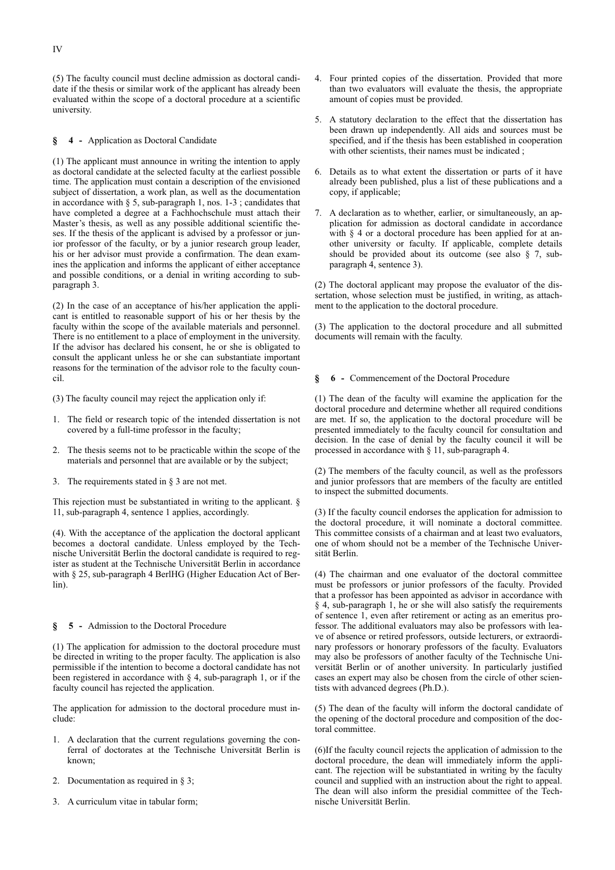(5) The faculty council must decline admission as doctoral candidate if the thesis or similar work of the applicant has already been evaluated within the scope of a doctoral procedure at a scientific university.

#### **§ 4 -** Application as Doctoral Candidate

(1) The applicant must announce in writing the intention to apply as doctoral candidate at the selected faculty at the earliest possible time. The application must contain a description of the envisioned subject of dissertation, a work plan, as well as the documentation in accordance with  $\S$  5, sub-paragraph 1, nos. 1-3; candidates that have completed a degree at a Fachhochschule must attach their Master's thesis, as well as any possible additional scientific theses. If the thesis of the applicant is advised by a professor or junior professor of the faculty, or by a junior research group leader, his or her advisor must provide a confirmation. The dean examines the application and informs the applicant of either acceptance and possible conditions, or a denial in writing according to subparagraph 3.

(2) In the case of an acceptance of his/her application the applicant is entitled to reasonable support of his or her thesis by the faculty within the scope of the available materials and personnel. There is no entitlement to a place of employment in the university. If the advisor has declared his consent, he or she is obligated to consult the applicant unless he or she can substantiate important reasons for the termination of the advisor role to the faculty council.

(3) The faculty council may reject the application only if:

- 1. The field or research topic of the intended dissertation is not covered by a full-time professor in the faculty;
- 2. The thesis seems not to be practicable within the scope of the materials and personnel that are available or by the subject;
- 3. The requirements stated in § 3 are not met.

This rejection must be substantiated in writing to the applicant.  $\S$ 11, sub-paragraph 4, sentence 1 applies, accordingly.

(4). With the acceptance of the application the doctoral applicant becomes a doctoral candidate. Unless employed by the Technische Universität Berlin the doctoral candidate is required to register as student at the Technische Universität Berlin in accordance with § 25, sub-paragraph 4 BerlHG (Higher Education Act of Berlin).

#### **§ 5 -** Admission to the Doctoral Procedure

(1) The application for admission to the doctoral procedure must be directed in writing to the proper faculty. The application is also permissible if the intention to become a doctoral candidate has not been registered in accordance with § 4, sub-paragraph 1, or if the faculty council has rejected the application.

The application for admission to the doctoral procedure must include:

- 1. A declaration that the current regulations governing the conferral of doctorates at the Technische Universität Berlin is known;
- 2. Documentation as required in § 3;
- 3. A curriculum vitae in tabular form;
- 4. Four printed copies of the dissertation. Provided that more than two evaluators will evaluate the thesis, the appropriate amount of copies must be provided.
- 5. A statutory declaration to the effect that the dissertation has been drawn up independently. All aids and sources must be specified, and if the thesis has been established in cooperation with other scientists, their names must be indicated ;
- 6. Details as to what extent the dissertation or parts of it have already been published, plus a list of these publications and a copy, if applicable;
- 7. A declaration as to whether, earlier, or simultaneously, an application for admission as doctoral candidate in accordance with § 4 or a doctoral procedure has been applied for at another university or faculty. If applicable, complete details should be provided about its outcome (see also § 7, subparagraph 4, sentence 3).

(2) The doctoral applicant may propose the evaluator of the dissertation, whose selection must be justified, in writing, as attachment to the application to the doctoral procedure.

(3) The application to the doctoral procedure and all submitted documents will remain with the faculty.

### **§ 6 -** Commencement of the Doctoral Procedure

(1) The dean of the faculty will examine the application for the doctoral procedure and determine whether all required conditions are met. If so, the application to the doctoral procedure will be presented immediately to the faculty council for consultation and decision. In the case of denial by the faculty council it will be processed in accordance with § 11, sub-paragraph 4.

(2) The members of the faculty council, as well as the professors and junior professors that are members of the faculty are entitled to inspect the submitted documents.

(3) If the faculty council endorses the application for admission to the doctoral procedure, it will nominate a doctoral committee. This committee consists of a chairman and at least two evaluators, one of whom should not be a member of the Technische Universität Berlin.

(4) The chairman and one evaluator of the doctoral committee must be professors or junior professors of the faculty. Provided that a professor has been appointed as advisor in accordance with § 4, sub-paragraph 1, he or she will also satisfy the requirements of sentence 1, even after retirement or acting as an emeritus professor. The additional evaluators may also be professors with leave of absence or retired professors, outside lecturers, or extraordinary professors or honorary professors of the faculty. Evaluators may also be professors of another faculty of the Technische Universität Berlin or of another university. In particularly justified cases an expert may also be chosen from the circle of other scientists with advanced degrees (Ph.D.).

(5) The dean of the faculty will inform the doctoral candidate of the opening of the doctoral procedure and composition of the doctoral committee.

(6)If the faculty council rejects the application of admission to the doctoral procedure, the dean will immediately inform the applicant. The rejection will be substantiated in writing by the faculty council and supplied with an instruction about the right to appeal. The dean will also inform the presidial committee of the Technische Universität Berlin.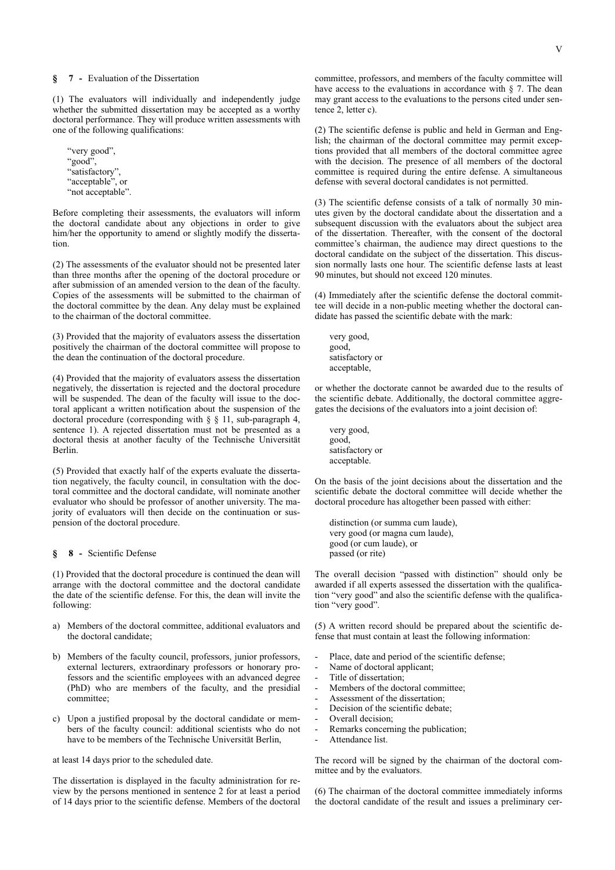#### **§ 7 -** Evaluation of the Dissertation

(1) The evaluators will individually and independently judge whether the submitted dissertation may be accepted as a worthy doctoral performance. They will produce written assessments with one of the following qualifications:

"very good", "good", "satisfactory", "acceptable", or "not acceptable".

Before completing their assessments, the evaluators will inform the doctoral candidate about any objections in order to give him/her the opportunity to amend or slightly modify the dissertation.

(2) The assessments of the evaluator should not be presented later than three months after the opening of the doctoral procedure or after submission of an amended version to the dean of the faculty. Copies of the assessments will be submitted to the chairman of the doctoral committee by the dean. Any delay must be explained to the chairman of the doctoral committee.

(3) Provided that the majority of evaluators assess the dissertation positively the chairman of the doctoral committee will propose to the dean the continuation of the doctoral procedure.

(4) Provided that the majority of evaluators assess the dissertation negatively, the dissertation is rejected and the doctoral procedure will be suspended. The dean of the faculty will issue to the doctoral applicant a written notification about the suspension of the doctoral procedure (corresponding with § § 11, sub-paragraph 4, sentence 1). A rejected dissertation must not be presented as a doctoral thesis at another faculty of the Technische Universität Berlin.

(5) Provided that exactly half of the experts evaluate the dissertation negatively, the faculty council, in consultation with the doctoral committee and the doctoral candidate, will nominate another evaluator who should be professor of another university. The majority of evaluators will then decide on the continuation or suspension of the doctoral procedure.

#### **§ 8 -** Scientific Defense

(1) Provided that the doctoral procedure is continued the dean will arrange with the doctoral committee and the doctoral candidate the date of the scientific defense. For this, the dean will invite the following:

- a) Members of the doctoral committee, additional evaluators and the doctoral candidate;
- b) Members of the faculty council, professors, junior professors, external lecturers, extraordinary professors or honorary professors and the scientific employees with an advanced degree (PhD) who are members of the faculty, and the presidial committee;
- c) Upon a justified proposal by the doctoral candidate or members of the faculty council: additional scientists who do not have to be members of the Technische Universität Berlin,

at least 14 days prior to the scheduled date.

The dissertation is displayed in the faculty administration for review by the persons mentioned in sentence 2 for at least a period of 14 days prior to the scientific defense. Members of the doctoral committee, professors, and members of the faculty committee will have access to the evaluations in accordance with § 7. The dean may grant access to the evaluations to the persons cited under sentence 2, letter c).

(2) The scientific defense is public and held in German and English; the chairman of the doctoral committee may permit exceptions provided that all members of the doctoral committee agree with the decision. The presence of all members of the doctoral committee is required during the entire defense. A simultaneous defense with several doctoral candidates is not permitted.

(3) The scientific defense consists of a talk of normally 30 minutes given by the doctoral candidate about the dissertation and a subsequent discussion with the evaluators about the subject area of the dissertation. Thereafter, with the consent of the doctoral committee's chairman, the audience may direct questions to the doctoral candidate on the subject of the dissertation. This discussion normally lasts one hour. The scientific defense lasts at least 90 minutes, but should not exceed 120 minutes.

(4) Immediately after the scientific defense the doctoral committee will decide in a non-public meeting whether the doctoral candidate has passed the scientific debate with the mark:

 very good, good, satisfactory or acceptable,

or whether the doctorate cannot be awarded due to the results of the scientific debate. Additionally, the doctoral committee aggregates the decisions of the evaluators into a joint decision of:

 very good, good, satisfactory or acceptable.

On the basis of the joint decisions about the dissertation and the scientific debate the doctoral committee will decide whether the doctoral procedure has altogether been passed with either:

 distinction (or summa cum laude), very good (or magna cum laude), good (or cum laude), or passed (or rite)

The overall decision "passed with distinction" should only be awarded if all experts assessed the dissertation with the qualification "very good" and also the scientific defense with the qualification "very good".

(5) A written record should be prepared about the scientific defense that must contain at least the following information:

- Place, date and period of the scientific defense;
- Name of doctoral applicant;
- Title of dissertation;
- Members of the doctoral committee:
- Assessment of the dissertation:
- Decision of the scientific debate;
- Overall decision;
- Remarks concerning the publication;
- Attendance list.

The record will be signed by the chairman of the doctoral committee and by the evaluators.

(6) The chairman of the doctoral committee immediately informs the doctoral candidate of the result and issues a preliminary cer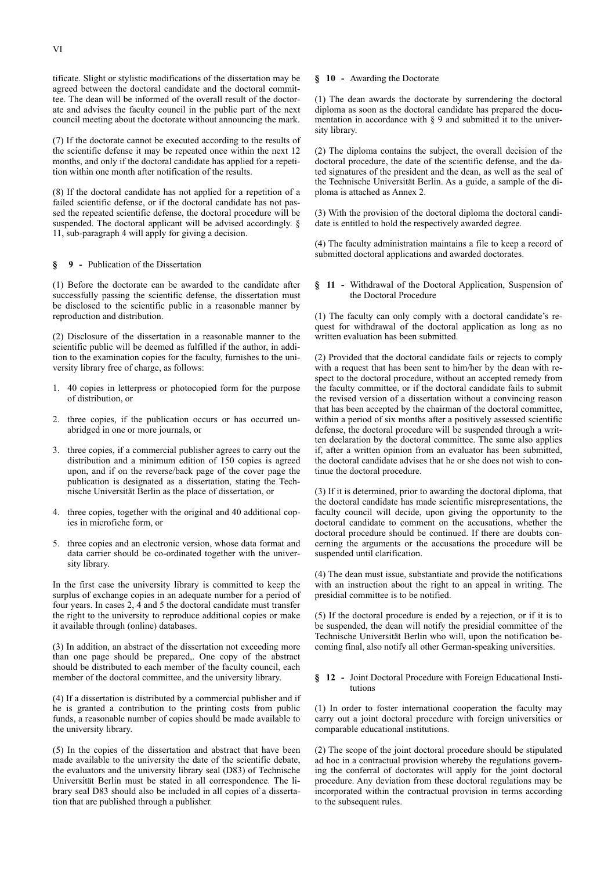tificate. Slight or stylistic modifications of the dissertation may be agreed between the doctoral candidate and the doctoral committee. The dean will be informed of the overall result of the doctorate and advises the faculty council in the public part of the next council meeting about the doctorate without announcing the mark.

(7) If the doctorate cannot be executed according to the results of the scientific defense it may be repeated once within the next 12 months, and only if the doctoral candidate has applied for a repetition within one month after notification of the results.

(8) If the doctoral candidate has not applied for a repetition of a failed scientific defense, or if the doctoral candidate has not passed the repeated scientific defense, the doctoral procedure will be suspended. The doctoral applicant will be advised accordingly.  $\delta$ 11, sub-paragraph 4 will apply for giving a decision.

#### **§ 9 -** Publication of the Dissertation

(1) Before the doctorate can be awarded to the candidate after successfully passing the scientific defense, the dissertation must be disclosed to the scientific public in a reasonable manner by reproduction and distribution.

(2) Disclosure of the dissertation in a reasonable manner to the scientific public will be deemed as fulfilled if the author, in addition to the examination copies for the faculty, furnishes to the university library free of charge, as follows:

- 1. 40 copies in letterpress or photocopied form for the purpose of distribution, or
- 2. three copies, if the publication occurs or has occurred unabridged in one or more journals, or
- 3. three copies, if a commercial publisher agrees to carry out the distribution and a minimum edition of 150 copies is agreed upon, and if on the reverse/back page of the cover page the publication is designated as a dissertation, stating the Technische Universität Berlin as the place of dissertation, or
- 4. three copies, together with the original and 40 additional copies in microfiche form, or
- 5. three copies and an electronic version, whose data format and data carrier should be co-ordinated together with the university library.

In the first case the university library is committed to keep the surplus of exchange copies in an adequate number for a period of four years. In cases 2, 4 and 5 the doctoral candidate must transfer the right to the university to reproduce additional copies or make it available through (online) databases.

(3) In addition, an abstract of the dissertation not exceeding more than one page should be prepared,. One copy of the abstract should be distributed to each member of the faculty council, each member of the doctoral committee, and the university library.

(4) If a dissertation is distributed by a commercial publisher and if he is granted a contribution to the printing costs from public funds, a reasonable number of copies should be made available to the university library.

(5) In the copies of the dissertation and abstract that have been made available to the university the date of the scientific debate, the evaluators and the university library seal (D83) of Technische Universität Berlin must be stated in all correspondence. The library seal D83 should also be included in all copies of a dissertation that are published through a publisher.

#### **§ 10 -** Awarding the Doctorate

(1) The dean awards the doctorate by surrendering the doctoral diploma as soon as the doctoral candidate has prepared the documentation in accordance with § 9 and submitted it to the university library.

(2) The diploma contains the subject, the overall decision of the doctoral procedure, the date of the scientific defense, and the dated signatures of the president and the dean, as well as the seal of the Technische Universität Berlin. As a guide, a sample of the diploma is attached as Annex 2.

(3) With the provision of the doctoral diploma the doctoral candidate is entitled to hold the respectively awarded degree.

(4) The faculty administration maintains a file to keep a record of submitted doctoral applications and awarded doctorates.

**§ 11 -** Withdrawal of the Doctoral Application, Suspension of the Doctoral Procedure

(1) The faculty can only comply with a doctoral candidate's request for withdrawal of the doctoral application as long as no written evaluation has been submitted.

(2) Provided that the doctoral candidate fails or rejects to comply with a request that has been sent to him/her by the dean with respect to the doctoral procedure, without an accepted remedy from the faculty committee, or if the doctoral candidate fails to submit the revised version of a dissertation without a convincing reason that has been accepted by the chairman of the doctoral committee, within a period of six months after a positively assessed scientific defense, the doctoral procedure will be suspended through a written declaration by the doctoral committee. The same also applies if, after a written opinion from an evaluator has been submitted, the doctoral candidate advises that he or she does not wish to continue the doctoral procedure.

(3) If it is determined, prior to awarding the doctoral diploma, that the doctoral candidate has made scientific misrepresentations, the faculty council will decide, upon giving the opportunity to the doctoral candidate to comment on the accusations, whether the doctoral procedure should be continued. If there are doubts concerning the arguments or the accusations the procedure will be suspended until clarification.

(4) The dean must issue, substantiate and provide the notifications with an instruction about the right to an appeal in writing. The presidial committee is to be notified.

(5) If the doctoral procedure is ended by a rejection, or if it is to be suspended, the dean will notify the presidial committee of the Technische Universität Berlin who will, upon the notification becoming final, also notify all other German-speaking universities.

#### **§ 12 -** Joint Doctoral Procedure with Foreign Educational Institutions

(1) In order to foster international cooperation the faculty may carry out a joint doctoral procedure with foreign universities or comparable educational institutions.

(2) The scope of the joint doctoral procedure should be stipulated ad hoc in a contractual provision whereby the regulations governing the conferral of doctorates will apply for the joint doctoral procedure. Any deviation from these doctoral regulations may be incorporated within the contractual provision in terms according to the subsequent rules.